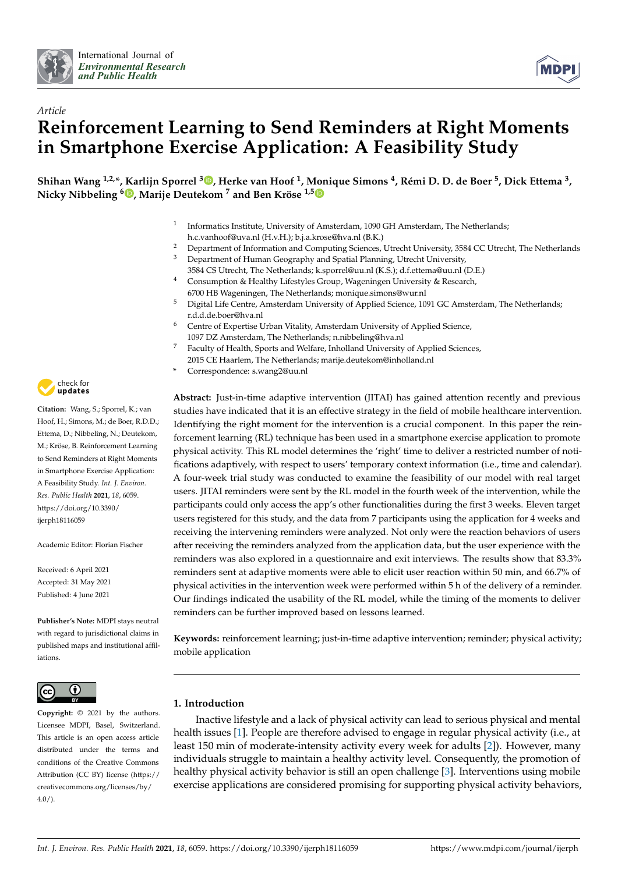



# *Article* **Reinforcement Learning to Send Reminders at Right Moments in Smartphone Exercise Application: A Feasibility Study**

**Shihan Wang 1,2,\*, Karlijn Sporrel [3](https://orcid.org/0000-0002-2757-8553) , Herke van Hoof <sup>1</sup> , Monique Simons <sup>4</sup> , Rémi D. D. de Boer <sup>5</sup> , Dick Ettema <sup>3</sup> , Nicky Nibbeling <sup>6</sup> [,](https://orcid.org/0000-0002-3982-2349) Marije Deutekom <sup>7</sup> and Ben Kröse 1,[5](https://orcid.org/0000-0003-1237-0618)**

- 1 Informatics Institute, University of Amsterdam, 1090 GH Amsterdam, The Netherlands; h.c.vanhoof@uva.nl (H.v.H.); b.j.a.krose@hva.nl (B.K.)
- <sup>2</sup> Department of Information and Computing Sciences, Utrecht University, 3584 CC Utrecht, The Netherlands<br><sup>3</sup> Department of Human Coorganhy and Spatial Planning, Utrecht University, <sup>3</sup> Department of Human Geography and Spatial Planning, Utrecht University,
- 3584 CS Utrecht, The Netherlands; k.sporrel@uu.nl (K.S.); d.f.ettema@uu.nl (D.E.) Consumption & Healthy Lifestyles Group, Wageningen University & Research,
- 6700 HB Wageningen, The Netherlands; monique.simons@wur.nl
- <sup>5</sup> Digital Life Centre, Amsterdam University of Applied Science, 1091 GC Amsterdam, The Netherlands; r.d.d.de.boer@hva.nl
- $6$  Centre of Expertise Urban Vitality, Amsterdam University of Applied Science, 1097 DZ Amsterdam, The Netherlands; n.nibbeling@hva.nl
- <sup>7</sup> Faculty of Health, Sports and Welfare, Inholland University of Applied Sciences, 2015 CE Haarlem, The Netherlands; marije.deutekom@inholland.nl
- **\*** Correspondence: s.wang2@uu.nl

**Abstract:** Just-in-time adaptive intervention (JITAI) has gained attention recently and previous studies have indicated that it is an effective strategy in the field of mobile healthcare intervention. Identifying the right moment for the intervention is a crucial component. In this paper the reinforcement learning (RL) technique has been used in a smartphone exercise application to promote physical activity. This RL model determines the 'right' time to deliver a restricted number of notifications adaptively, with respect to users' temporary context information (i.e., time and calendar). A four-week trial study was conducted to examine the feasibility of our model with real target users. JITAI reminders were sent by the RL model in the fourth week of the intervention, while the participants could only access the app's other functionalities during the first 3 weeks. Eleven target users registered for this study, and the data from 7 participants using the application for 4 weeks and receiving the intervening reminders were analyzed. Not only were the reaction behaviors of users after receiving the reminders analyzed from the application data, but the user experience with the reminders was also explored in a questionnaire and exit interviews. The results show that 83.3% reminders sent at adaptive moments were able to elicit user reaction within 50 min, and 66.7% of physical activities in the intervention week were performed within 5 h of the delivery of a reminder. Our findings indicated the usability of the RL model, while the timing of the moments to deliver reminders can be further improved based on lessons learned.

**Keywords:** reinforcement learning; just-in-time adaptive intervention; reminder; physical activity; mobile application

## <span id="page-0-0"></span>**1. Introduction**

Inactive lifestyle and a lack of physical activity can lead to serious physical and mental health issues [\[1\]](#page-13-0). People are therefore advised to engage in regular physical activity (i.e., at least 150 min of moderate-intensity activity every week for adults [\[2\]](#page-13-1)). However, many individuals struggle to maintain a healthy activity level. Consequently, the promotion of healthy physical activity behavior is still an open challenge [\[3\]](#page-13-2). Interventions using mobile exercise applications are considered promising for supporting physical activity behaviors,



**Citation:** Wang, S.; Sporrel, K.; van Hoof, H.; Simons, M.; de Boer, R.D.D.; Ettema, D.; Nibbeling, N.; Deutekom, M.; Kröse, B. Reinforcement Learning to Send Reminders at Right Moments in Smartphone Exercise Application: A Feasibility Study. *Int. J. Environ. Res. Public Health* **2021**, *18*, 6059. [https://doi.org/10.3390/](https://doi.org/10.3390/ijerph18116059) [ijerph18116059](https://doi.org/10.3390/ijerph18116059)

Academic Editor: Florian Fischer

Received: 6 April 2021 Accepted: 31 May 2021 Published: 4 June 2021

**Publisher's Note:** MDPI stays neutral with regard to jurisdictional claims in published maps and institutional affiliations.



**Copyright:** © 2021 by the authors. Licensee MDPI, Basel, Switzerland. This article is an open access article distributed under the terms and conditions of the Creative Commons Attribution (CC BY) license (https:/[/](https://creativecommons.org/licenses/by/4.0/) [creativecommons.org/licenses/by/](https://creativecommons.org/licenses/by/4.0/)  $4.0/$ ).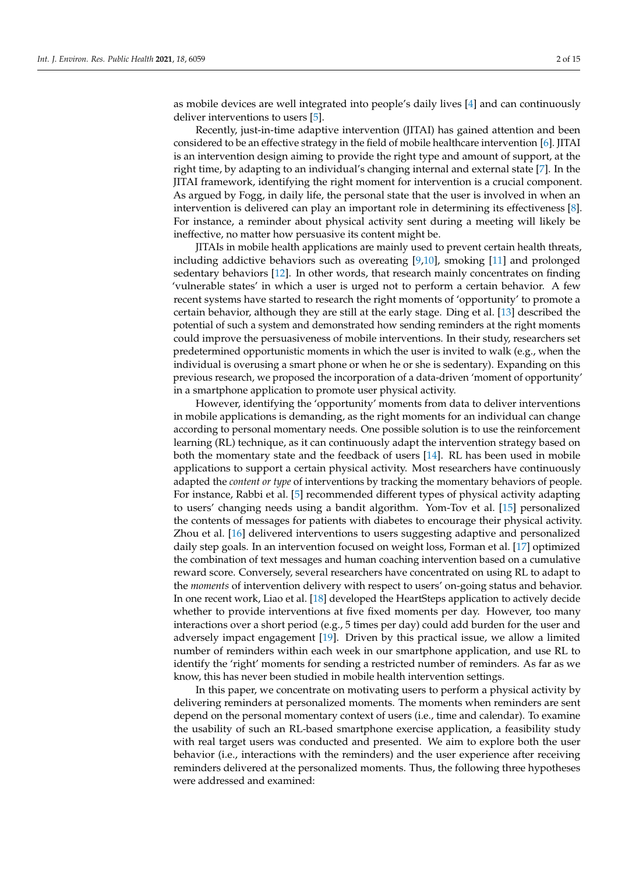as mobile devices are well integrated into people's daily lives [\[4\]](#page-13-3) and can continuously deliver interventions to users [\[5\]](#page-13-4).

Recently, just-in-time adaptive intervention (JITAI) has gained attention and been considered to be an effective strategy in the field of mobile healthcare intervention [\[6\]](#page-13-5). JITAI is an intervention design aiming to provide the right type and amount of support, at the right time, by adapting to an individual's changing internal and external state [\[7\]](#page-13-6). In the JITAI framework, identifying the right moment for intervention is a crucial component. As argued by Fogg, in daily life, the personal state that the user is involved in when an intervention is delivered can play an important role in determining its effectiveness [\[8\]](#page-13-7). For instance, a reminder about physical activity sent during a meeting will likely be ineffective, no matter how persuasive its content might be.

JITAIs in mobile health applications are mainly used to prevent certain health threats, including addictive behaviors such as overeating [\[9,](#page-13-8)[10\]](#page-13-9), smoking [\[11\]](#page-13-10) and prolonged sedentary behaviors [\[12\]](#page-13-11). In other words, that research mainly concentrates on finding 'vulnerable states' in which a user is urged not to perform a certain behavior. A few recent systems have started to research the right moments of 'opportunity' to promote a certain behavior, although they are still at the early stage. Ding et al. [\[13\]](#page-13-12) described the potential of such a system and demonstrated how sending reminders at the right moments could improve the persuasiveness of mobile interventions. In their study, researchers set predetermined opportunistic moments in which the user is invited to walk (e.g., when the individual is overusing a smart phone or when he or she is sedentary). Expanding on this previous research, we proposed the incorporation of a data-driven 'moment of opportunity' in a smartphone application to promote user physical activity.

However, identifying the 'opportunity' moments from data to deliver interventions in mobile applications is demanding, as the right moments for an individual can change according to personal momentary needs. One possible solution is to use the reinforcement learning (RL) technique, as it can continuously adapt the intervention strategy based on both the momentary state and the feedback of users [\[14\]](#page-13-13). RL has been used in mobile applications to support a certain physical activity. Most researchers have continuously adapted the *content or type* of interventions by tracking the momentary behaviors of people. For instance, Rabbi et al. [\[5\]](#page-13-4) recommended different types of physical activity adapting to users' changing needs using a bandit algorithm. Yom-Tov et al. [\[15\]](#page-13-14) personalized the contents of messages for patients with diabetes to encourage their physical activity. Zhou et al. [\[16\]](#page-13-15) delivered interventions to users suggesting adaptive and personalized daily step goals. In an intervention focused on weight loss, Forman et al. [\[17\]](#page-13-16) optimized the combination of text messages and human coaching intervention based on a cumulative reward score. Conversely, several researchers have concentrated on using RL to adapt to the *moments* of intervention delivery with respect to users' on-going status and behavior. In one recent work, Liao et al. [\[18\]](#page-13-17) developed the HeartSteps application to actively decide whether to provide interventions at five fixed moments per day. However, too many interactions over a short period (e.g., 5 times per day) could add burden for the user and adversely impact engagement [\[19\]](#page-13-18). Driven by this practical issue, we allow a limited number of reminders within each week in our smartphone application, and use RL to identify the 'right' moments for sending a restricted number of reminders. As far as we know, this has never been studied in mobile health intervention settings.

In this paper, we concentrate on motivating users to perform a physical activity by delivering reminders at personalized moments. The moments when reminders are sent depend on the personal momentary context of users (i.e., time and calendar). To examine the usability of such an RL-based smartphone exercise application, a feasibility study with real target users was conducted and presented. We aim to explore both the user behavior (i.e., interactions with the reminders) and the user experience after receiving reminders delivered at the personalized moments. Thus, the following three hypotheses were addressed and examined: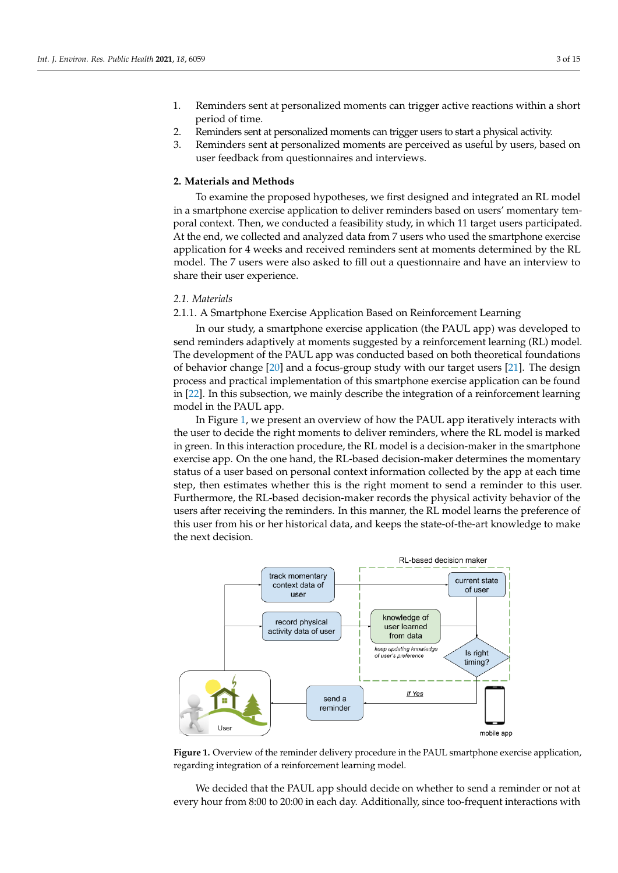- 1. Reminders sent at personalized moments can trigger active reactions within a short period of time.
- 2. Reminders sent at personalized moments can trigger users to start a physical activity.
- 3. Reminders sent at personalized moments are perceived as useful by users, based on user feedback from questionnaires and interviews.

#### **2. Materials and Methods**

To examine the proposed hypotheses, we first designed and integrated an RL model in a smartphone exercise application to deliver reminders based on users' momentary temporal context. Then, we conducted a feasibility study, in which 11 target users participated. At the end, we collected and analyzed data from 7 users who used the smartphone exercise application for 4 weeks and received reminders sent at moments determined by the RL model. The 7 users were also asked to fill out a questionnaire and have an interview to share their user experience.

#### *2.1. Materials*

2.1.1. A Smartphone Exercise Application Based on Reinforcement Learning

In our study, a smartphone exercise application (the PAUL app) was developed to send reminders adaptively at moments suggested by a reinforcement learning (RL) model. The development of the PAUL app was conducted based on both theoretical foundations of behavior change [\[20\]](#page-13-19) and a focus-group study with our target users [\[21\]](#page-13-20). The design process and practical implementation of this smartphone exercise application can be found in [\[22\]](#page-14-0). In this subsection, we mainly describe the integration of a reinforcement learning model in the PAUL app.

In Figure [1,](#page-2-0) we present an overview of how the PAUL app iteratively interacts with the user to decide the right moments to deliver reminders, where the RL model is marked in green. In this interaction procedure, the RL model is a decision-maker in the smartphone exercise app. On the one hand, the RL-based decision-maker determines the momentary status of a user based on personal context information collected by the app at each time step, then estimates whether this is the right moment to send a reminder to this user. Furthermore, the RL-based decision-maker records the physical activity behavior of the users after receiving the reminders. In this manner, the RL model learns the preference of this user from his or her historical data, and keeps the state-of-the-art knowledge to make the next decision.

<span id="page-2-0"></span>

**Figure 1.** Overview of the reminder delivery procedure in the PAUL smartphone exercise application, regarding integration of a reinforcement learning model.

We decided that the PAUL app should decide on whether to send a reminder or not at every hour from 8:00 to 20:00 in each day. Additionally, since too-frequent interactions with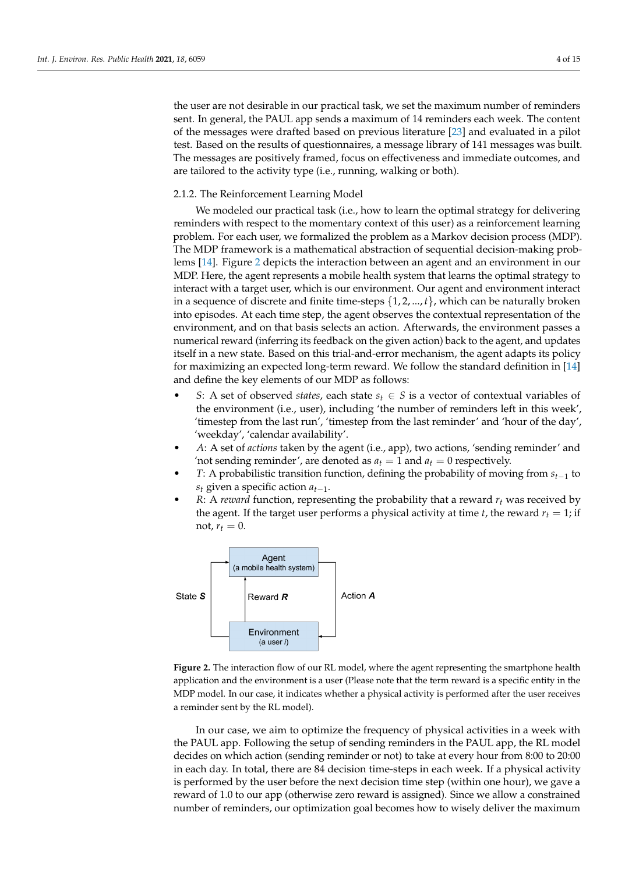the user are not desirable in our practical task, we set the maximum number of reminders sent. In general, the PAUL app sends a maximum of 14 reminders each week. The content of the messages were drafted based on previous literature [\[23\]](#page-14-1) and evaluated in a pilot test. Based on the results of questionnaires, a message library of 141 messages was built. The messages are positively framed, focus on effectiveness and immediate outcomes, and are tailored to the activity type (i.e., running, walking or both).

#### 2.1.2. The Reinforcement Learning Model

We modeled our practical task (i.e., how to learn the optimal strategy for delivering reminders with respect to the momentary context of this user) as a reinforcement learning problem. For each user, we formalized the problem as a Markov decision process (MDP). The MDP framework is a mathematical abstraction of sequential decision-making problems [\[14\]](#page-13-13). Figure [2](#page-3-0) depicts the interaction between an agent and an environment in our MDP. Here, the agent represents a mobile health system that learns the optimal strategy to interact with a target user, which is our environment. Our agent and environment interact in a sequence of discrete and finite time-steps  $\{1, 2, ..., t\}$ , which can be naturally broken into episodes. At each time step, the agent observes the contextual representation of the environment, and on that basis selects an action. Afterwards, the environment passes a numerical reward (inferring its feedback on the given action) back to the agent, and updates itself in a new state. Based on this trial-and-error mechanism, the agent adapts its policy for maximizing an expected long-term reward. We follow the standard definition in [\[14\]](#page-13-13) and define the key elements of our MDP as follows:

- *S*: A set of observed *states*, each state  $s$ *t* ∈ *S* is a vector of contextual variables of the environment (i.e., user), including 'the number of reminders left in this week', 'timestep from the last run', 'timestep from the last reminder' and 'hour of the day', 'weekday', 'calendar availability'.
- *A*: A set of *actions* taken by the agent (i.e., app), two actions, 'sending reminder' and 'not sending reminder', are denoted as  $a_t = 1$  and  $a_t = 0$  respectively.
- *T*: A probabilistic transition function, defining the probability of moving from *st*−<sup>1</sup> to *s<sup>t</sup>* given a specific action *at*−1.
- *R*: A *reward* function, representing the probability that a reward *r<sup>t</sup>* was received by the agent. If the target user performs a physical activity at time *t*, the reward  $r_t = 1$ ; if not,  $r_t = 0$ .

<span id="page-3-0"></span>

**Figure 2.** The interaction flow of our RL model, where the agent representing the smartphone health application and the environment is a user (Please note that the term reward is a specific entity in the MDP model. In our case, it indicates whether a physical activity is performed after the user receives a reminder sent by the RL model).

In our case, we aim to optimize the frequency of physical activities in a week with the PAUL app. Following the setup of sending reminders in the PAUL app, the RL model decides on which action (sending reminder or not) to take at every hour from 8:00 to 20:00 in each day. In total, there are 84 decision time-steps in each week. If a physical activity is performed by the user before the next decision time step (within one hour), we gave a reward of 1.0 to our app (otherwise zero reward is assigned). Since we allow a constrained number of reminders, our optimization goal becomes how to wisely deliver the maximum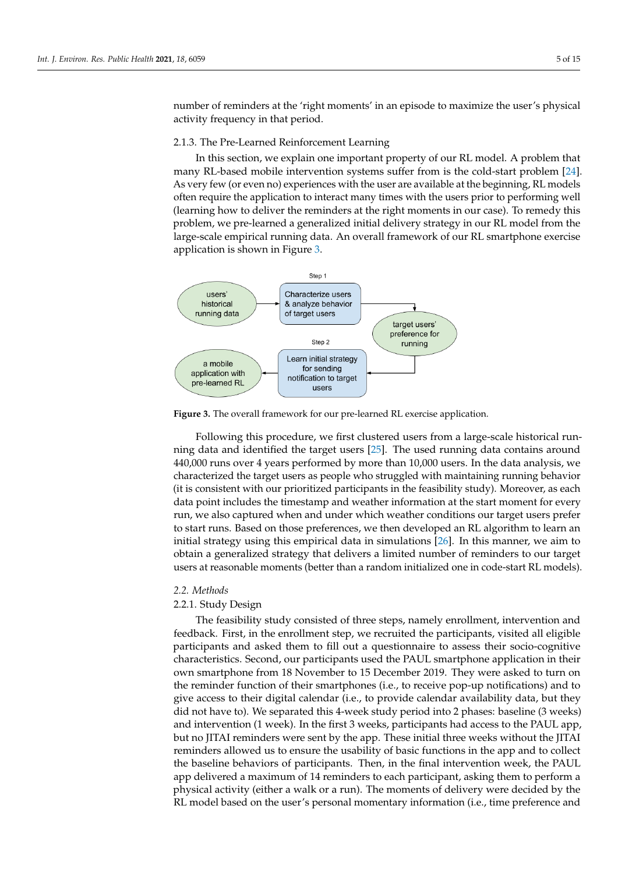number of reminders at the 'right moments' in an episode to maximize the user's physical activity frequency in that period.

#### 2.1.3. The Pre-Learned Reinforcement Learning

In this section, we explain one important property of our RL model. A problem that many RL-based mobile intervention systems suffer from is the cold-start problem [\[24\]](#page-14-2). As very few (or even no) experiences with the user are available at the beginning, RL models often require the application to interact many times with the users prior to performing well (learning how to deliver the reminders at the right moments in our case). To remedy this problem, we pre-learned a generalized initial delivery strategy in our RL model from the large-scale empirical running data. An overall framework of our RL smartphone exercise application is shown in Figure [3.](#page-4-0)

<span id="page-4-0"></span>

**Figure 3.** The overall framework for our pre-learned RL exercise application.

Following this procedure, we first clustered users from a large-scale historical running data and identified the target users [\[25\]](#page-14-3). The used running data contains around 440,000 runs over 4 years performed by more than 10,000 users. In the data analysis, we characterized the target users as people who struggled with maintaining running behavior (it is consistent with our prioritized participants in the feasibility study). Moreover, as each data point includes the timestamp and weather information at the start moment for every run, we also captured when and under which weather conditions our target users prefer to start runs. Based on those preferences, we then developed an RL algorithm to learn an initial strategy using this empirical data in simulations [\[26\]](#page-14-4). In this manner, we aim to obtain a generalized strategy that delivers a limited number of reminders to our target users at reasonable moments (better than a random initialized one in code-start RL models).

#### *2.2. Methods*

## 2.2.1. Study Design

The feasibility study consisted of three steps, namely enrollment, intervention and feedback. First, in the enrollment step, we recruited the participants, visited all eligible participants and asked them to fill out a questionnaire to assess their socio-cognitive characteristics. Second, our participants used the PAUL smartphone application in their own smartphone from 18 November to 15 December 2019. They were asked to turn on the reminder function of their smartphones (i.e., to receive pop-up notifications) and to give access to their digital calendar (i.e., to provide calendar availability data, but they did not have to). We separated this 4-week study period into 2 phases: baseline (3 weeks) and intervention (1 week). In the first 3 weeks, participants had access to the PAUL app, but no JITAI reminders were sent by the app. These initial three weeks without the JITAI reminders allowed us to ensure the usability of basic functions in the app and to collect the baseline behaviors of participants. Then, in the final intervention week, the PAUL app delivered a maximum of 14 reminders to each participant, asking them to perform a physical activity (either a walk or a run). The moments of delivery were decided by the RL model based on the user's personal momentary information (i.e., time preference and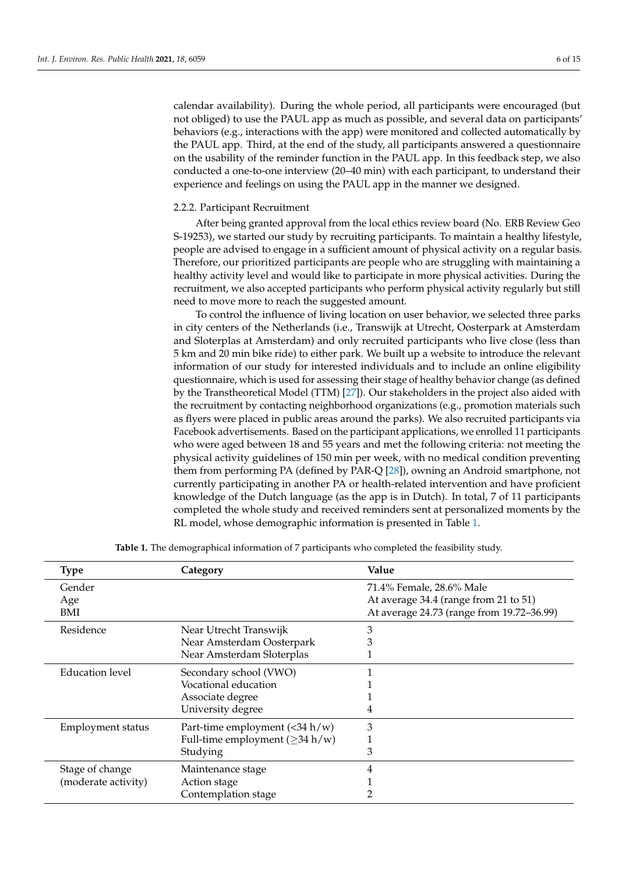calendar availability). During the whole period, all participants were encouraged (but not obliged) to use the PAUL app as much as possible, and several data on participants' behaviors (e.g., interactions with the app) were monitored and collected automatically by the PAUL app. Third, at the end of the study, all participants answered a questionnaire on the usability of the reminder function in the PAUL app. In this feedback step, we also conducted a one-to-one interview (20–40 min) with each participant, to understand their experience and feelings on using the PAUL app in the manner we designed.

#### 2.2.2. Participant Recruitment

After being granted approval from the local ethics review board (No. ERB Review Geo S-19253), we started our study by recruiting participants. To maintain a healthy lifestyle, people are advised to engage in a sufficient amount of physical activity on a regular basis. Therefore, our prioritized participants are people who are struggling with maintaining a healthy activity level and would like to participate in more physical activities. During the recruitment, we also accepted participants who perform physical activity regularly but still need to move more to reach the suggested amount.

To control the influence of living location on user behavior, we selected three parks in city centers of the Netherlands (i.e., Transwijk at Utrecht, Oosterpark at Amsterdam and Sloterplas at Amsterdam) and only recruited participants who live close (less than 5 km and 20 min bike ride) to either park. We built up a website to introduce the relevant information of our study for interested individuals and to include an online eligibility questionnaire, which is used for assessing their stage of healthy behavior change (as defined by the Transtheoretical Model (TTM) [\[27\]](#page-14-5)). Our stakeholders in the project also aided with the recruitment by contacting neighborhood organizations (e.g., promotion materials such as flyers were placed in public areas around the parks). We also recruited participants via Facebook advertisements. Based on the participant applications, we enrolled 11 participants who were aged between 18 and 55 years and met the following criteria: not meeting the physical activity guidelines of 150 min per week, with no medical condition preventing them from performing PA (defined by PAR-Q [\[28\]](#page-14-6)), owning an Android smartphone, not currently participating in another PA or health-related intervention and have proficient knowledge of the Dutch language (as the app is in Dutch). In total, 7 of 11 participants completed the whole study and received reminders sent at personalized moments by the RL model, whose demographic information is presented in Table [1.](#page-5-0)

<span id="page-5-0"></span>

| Type                                   | Category                                                                                | Value                                                                                                          |
|----------------------------------------|-----------------------------------------------------------------------------------------|----------------------------------------------------------------------------------------------------------------|
| Gender<br>Age<br>BMI                   |                                                                                         | 71.4% Female, 28.6% Male<br>At average 34.4 (range from 21 to 51)<br>At average 24.73 (range from 19.72-36.99) |
| Residence                              | Near Utrecht Transwijk<br>Near Amsterdam Oosterpark<br>Near Amsterdam Sloterplas        | 3<br>ð.                                                                                                        |
| Education level                        | Secondary school (VWO)<br>Vocational education<br>Associate degree<br>University degree | 4                                                                                                              |
| <b>Employment status</b>               | Part-time employment (<34 h/w)<br>Full-time employment ( $\geq$ 34 h/w)<br>Studying     | 3<br>3                                                                                                         |
| Stage of change<br>(moderate activity) | Maintenance stage<br>Action stage<br>Contemplation stage                                |                                                                                                                |

**Table 1.** The demographical information of 7 participants who completed the feasibility study.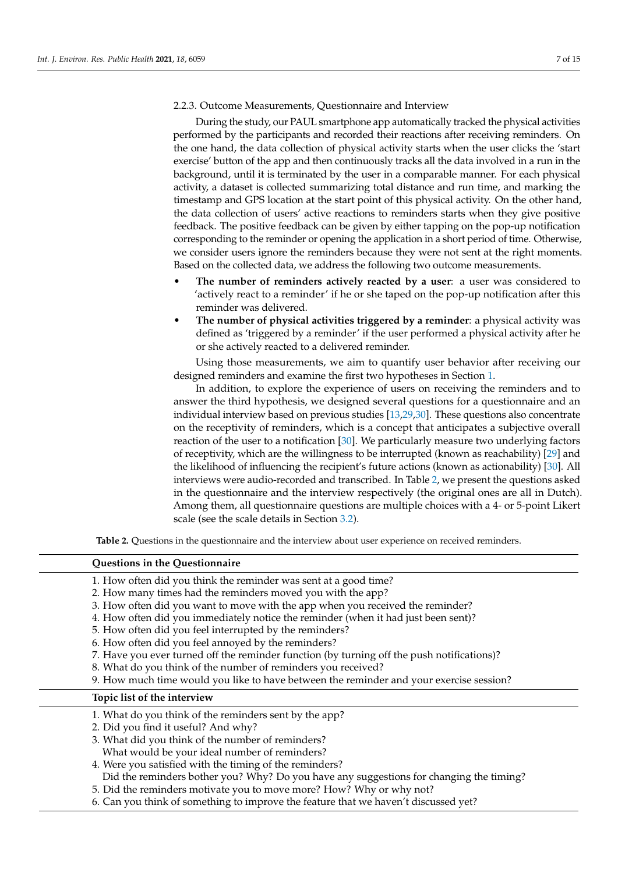<span id="page-6-1"></span>2.2.3. Outcome Measurements, Questionnaire and Interview

During the study, our PAUL smartphone app automatically tracked the physical activities performed by the participants and recorded their reactions after receiving reminders. On the one hand, the data collection of physical activity starts when the user clicks the 'start exercise' button of the app and then continuously tracks all the data involved in a run in the background, until it is terminated by the user in a comparable manner. For each physical activity, a dataset is collected summarizing total distance and run time, and marking the timestamp and GPS location at the start point of this physical activity. On the other hand, the data collection of users' active reactions to reminders starts when they give positive feedback. The positive feedback can be given by either tapping on the pop-up notification corresponding to the reminder or opening the application in a short period of time. Otherwise, we consider users ignore the reminders because they were not sent at the right moments. Based on the collected data, we address the following two outcome measurements.

- **The number of reminders actively reacted by a user**: a user was considered to 'actively react to a reminder' if he or she taped on the pop-up notification after this reminder was delivered.
- **The number of physical activities triggered by a reminder**: a physical activity was defined as 'triggered by a reminder' if the user performed a physical activity after he or she actively reacted to a delivered reminder.

Using those measurements, we aim to quantify user behavior after receiving our designed reminders and examine the first two hypotheses in Section [1.](#page-0-0)

In addition, to explore the experience of users on receiving the reminders and to answer the third hypothesis, we designed several questions for a questionnaire and an individual interview based on previous studies [\[13](#page-13-12)[,29](#page-14-7)[,30\]](#page-14-8). These questions also concentrate on the receptivity of reminders, which is a concept that anticipates a subjective overall reaction of the user to a notification [\[30\]](#page-14-8). We particularly measure two underlying factors of receptivity, which are the willingness to be interrupted (known as reachability) [\[29\]](#page-14-7) and the likelihood of influencing the recipient's future actions (known as actionability) [\[30\]](#page-14-8). All interviews were audio-recorded and transcribed. In Table [2,](#page-6-0) we present the questions asked in the questionnaire and the interview respectively (the original ones are all in Dutch). Among them, all questionnaire questions are multiple choices with a 4- or 5-point Likert scale (see the scale details in Section [3.2\)](#page-9-0).

**Table 2.** Questions in the questionnaire and the interview about user experience on received reminders.

#### <span id="page-6-0"></span>**Questions in the Questionnaire**

- 1. How often did you think the reminder was sent at a good time?
- 2. How many times had the reminders moved you with the app?
- 3. How often did you want to move with the app when you received the reminder?
- 4. How often did you immediately notice the reminder (when it had just been sent)?
- 5. How often did you feel interrupted by the reminders?
- 6. How often did you feel annoyed by the reminders?
- 7. Have you ever turned off the reminder function (by turning off the push notifications)?
- 8. What do you think of the number of reminders you received?
- 9. How much time would you like to have between the reminder and your exercise session?

## **Topic list of the interview**

- 1. What do you think of the reminders sent by the app?
- 2. Did you find it useful? And why?
- 3. What did you think of the number of reminders? What would be your ideal number of reminders?
- 4. Were you satisfied with the timing of the reminders?
- Did the reminders bother you? Why? Do you have any suggestions for changing the timing?
- 5. Did the reminders motivate you to move more? How? Why or why not?
- 6. Can you think of something to improve the feature that we haven't discussed yet?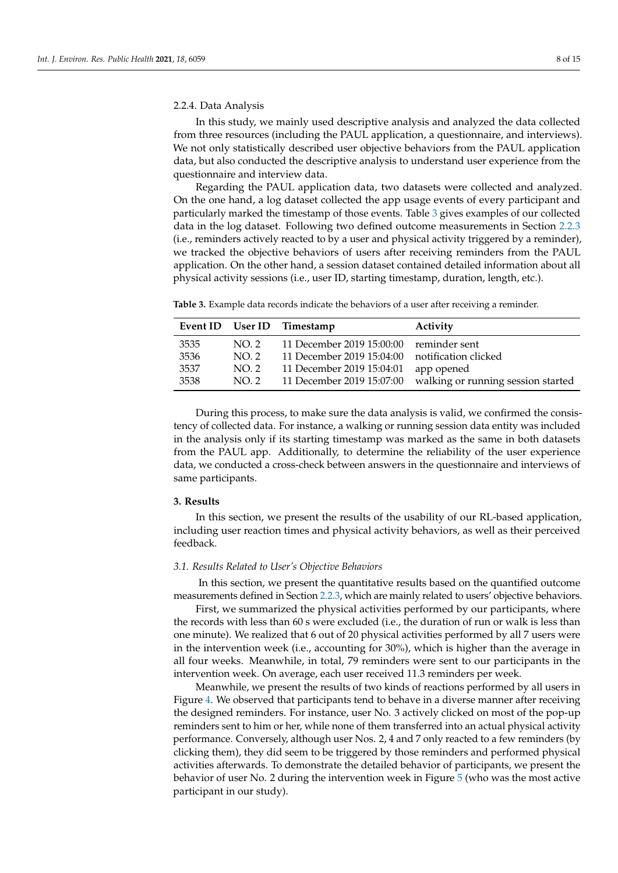#### 2.2.4. Data Analysis

In this study, we mainly used descriptive analysis and analyzed the data collected from three resources (including the PAUL application, a questionnaire, and interviews). We not only statistically described user objective behaviors from the PAUL application data, but also conducted the descriptive analysis to understand user experience from the questionnaire and interview data.

Regarding the PAUL application data, two datasets were collected and analyzed. On the one hand, a log dataset collected the app usage events of every participant and particularly marked the timestamp of those events. Table [3](#page-7-0) gives examples of our collected data in the log dataset. Following two defined outcome measurements in Section [2.2.3](#page-6-1) (i.e., reminders actively reacted to by a user and physical activity triggered by a reminder), we tracked the objective behaviors of users after receiving reminders from the PAUL application. On the other hand, a session dataset contained detailed information about all physical activity sessions (i.e., user ID, starting timestamp, duration, length, etc.).

<span id="page-7-0"></span>**Table 3.** Example data records indicate the behaviors of a user after receiving a reminder.

|      |      | Event ID User ID Timestamp | Activity                           |
|------|------|----------------------------|------------------------------------|
| 3535 | NO.2 | 11 December 2019 15:00:00  | reminder sent                      |
| 3536 | NO.2 | 11 December 2019 15:04:00  | notification clicked               |
| 3537 | NO.2 | 11 December 2019 15:04:01  | app opened                         |
| 3538 | NO.2 | 11 December 2019 15:07:00  | walking or running session started |

During this process, to make sure the data analysis is valid, we confirmed the consistency of collected data. For instance, a walking or running session data entity was included in the analysis only if its starting timestamp was marked as the same in both datasets from the PAUL app. Additionally, to determine the reliability of the user experience data, we conducted a cross-check between answers in the questionnaire and interviews of same participants.

#### <span id="page-7-1"></span>**3. Results**

In this section, we present the results of the usability of our RL-based application, including user reaction times and physical activity behaviors, as well as their perceived feedback.

#### *3.1. Results Related to User's Objective Behaviors*

In this section, we present the quantitative results based on the quantified outcome measurements defined in Section [2.2.3,](#page-6-1) which are mainly related to users' objective behaviors.

First, we summarized the physical activities performed by our participants, where the records with less than 60 s were excluded (i.e., the duration of run or walk is less than one minute). We realized that 6 out of 20 physical activities performed by all 7 users were in the intervention week (i.e., accounting for 30%), which is higher than the average in all four weeks. Meanwhile, in total, 79 reminders were sent to our participants in the intervention week. On average, each user received 11.3 reminders per week.

Meanwhile, we present the results of two kinds of reactions performed by all users in Figure [4.](#page-8-0) We observed that participants tend to behave in a diverse manner after receiving the designed reminders. For instance, user No. 3 actively clicked on most of the pop-up reminders sent to him or her, while none of them transferred into an actual physical activity performance. Conversely, although user Nos. 2, 4 and 7 only reacted to a few reminders (by clicking them), they did seem to be triggered by those reminders and performed physical activities afterwards. To demonstrate the detailed behavior of participants, we present the behavior of user No. 2 during the intervention week in Figure [5](#page-8-1) (who was the most active participant in our study).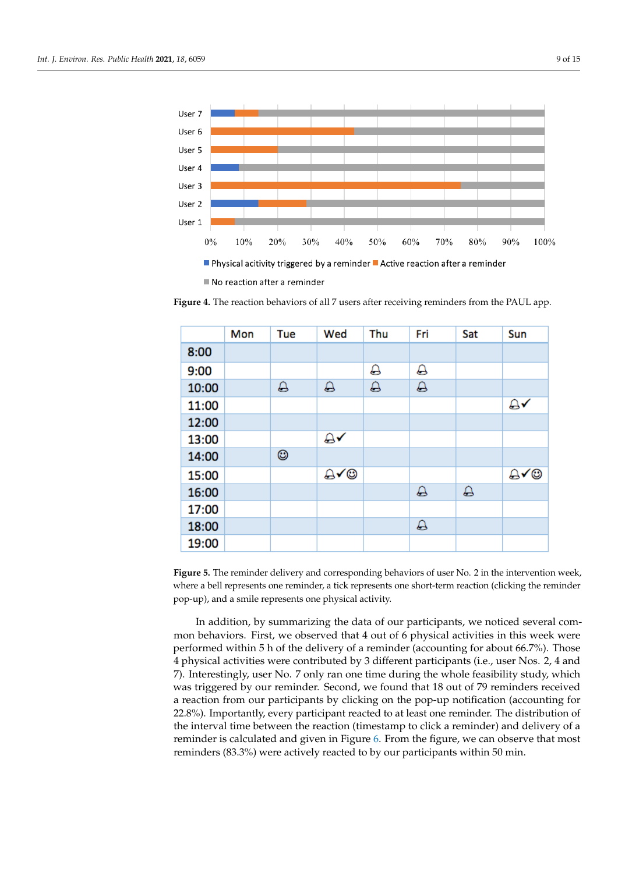<span id="page-8-0"></span>

Physical acitivity triggered by a reminder Active reaction after a reminder

No reaction after a reminder

<span id="page-8-1"></span>**Figure 4.** The reaction behaviors of all 7 users after receiving reminders from the PAUL app.

|       | Mon | Tue | Wed      | Thu      | Fri      | Sat      | Sun |
|-------|-----|-----|----------|----------|----------|----------|-----|
| 8:00  |     |     |          |          |          |          |     |
| 9:00  |     |     |          | Д        | ♤        |          |     |
| 10:00 |     | ♤   | $\Delta$ | $\Delta$ | $\Delta$ |          |     |
| 11:00 |     |     |          |          |          |          | Α√  |
| 12:00 |     |     |          |          |          |          |     |
| 13:00 |     |     | Α√       |          |          |          |     |
| 14:00 |     | ☺   |          |          |          |          |     |
| 15:00 |     |     | ⊕√©      |          |          |          | ∆√⊜ |
| 16:00 |     |     |          |          | Д        | $\Delta$ |     |
| 17:00 |     |     |          |          |          |          |     |
| 18:00 |     |     |          |          | A        |          |     |
| 19:00 |     |     |          |          |          |          |     |

**Figure 5.** The reminder delivery and corresponding behaviors of user No. 2 in the intervention week, where a bell represents one reminder, a tick represents one short-term reaction (clicking the reminder pop-up), and a smile represents one physical activity.

In addition, by summarizing the data of our participants, we noticed several common behaviors. First, we observed that 4 out of 6 physical activities in this week were performed within 5 h of the delivery of a reminder (accounting for about 66.7%). Those 4 physical activities were contributed by 3 different participants (i.e., user Nos. 2, 4 and 7). Interestingly, user No. 7 only ran one time during the whole feasibility study, which was triggered by our reminder. Second, we found that 18 out of 79 reminders received a reaction from our participants by clicking on the pop-up notification (accounting for 22.8%). Importantly, every participant reacted to at least one reminder. The distribution of the interval time between the reaction (timestamp to click a reminder) and delivery of a reminder is calculated and given in Figure [6.](#page-9-1) From the figure, we can observe that most reminders (83.3%) were actively reacted to by our participants within 50 min.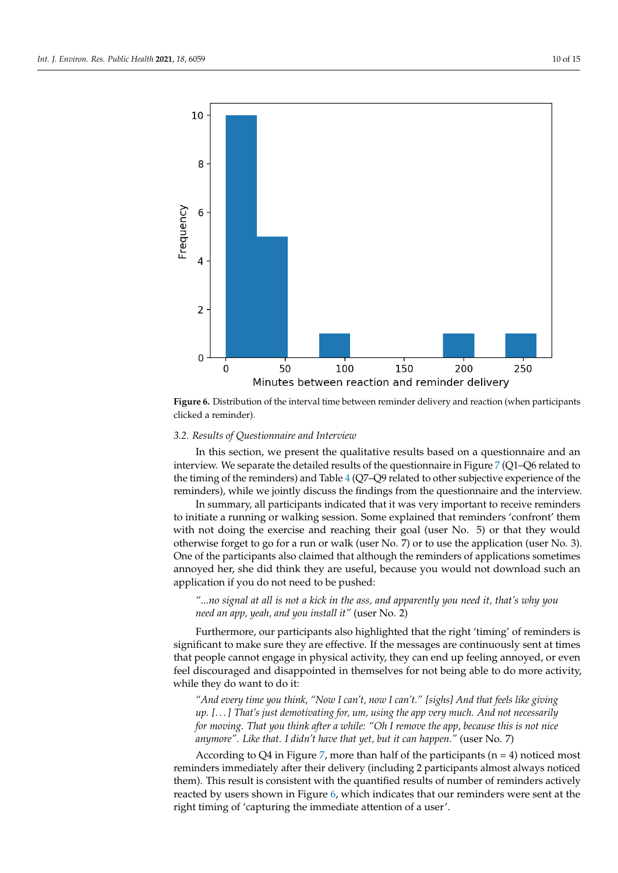<span id="page-9-1"></span>

**Figure 6.** Distribution of the interval time between reminder delivery and reaction (when participants clicked a reminder).

#### <span id="page-9-0"></span>*3.2. Results of Questionnaire and Interview*

In this section, we present the qualitative results based on a questionnaire and an interview. We separate the detailed results of the questionnaire in Figure [7](#page-10-0) (Q1–Q6 related to the timing of the reminders) and Table [4](#page-10-1) (Q7–Q9 related to other subjective experience of the reminders), while we jointly discuss the findings from the questionnaire and the interview.

In summary, all participants indicated that it was very important to receive reminders to initiate a running or walking session. Some explained that reminders 'confront' them with not doing the exercise and reaching their goal (user No. 5) or that they would otherwise forget to go for a run or walk (user No. 7) or to use the application (user No. 3). One of the participants also claimed that although the reminders of applications sometimes annoyed her, she did think they are useful, because you would not download such an application if you do not need to be pushed:

## *"...no signal at all is not a kick in the ass, and apparently you need it, that's why you need an app, yeah, and you install it"* (user No. 2)

Furthermore, our participants also highlighted that the right 'timing' of reminders is significant to make sure they are effective. If the messages are continuously sent at times that people cannot engage in physical activity, they can end up feeling annoyed, or even feel discouraged and disappointed in themselves for not being able to do more activity, while they do want to do it:

*"And every time you think, "Now I can't, now I can't." [sighs] And that feels like giving up. [. . . ] That's just demotivating for, um, using the app very much. And not necessarily for moving. That you think after a while: "Oh I remove the app, because this is not nice anymore". Like that. I didn't have that yet, but it can happen."* (user No. 7)

According to Q4 in Figure [7,](#page-10-0) more than half of the participants ( $n = 4$ ) noticed most reminders immediately after their delivery (including 2 participants almost always noticed them). This result is consistent with the quantified results of number of reminders actively reacted by users shown in Figure [6,](#page-9-1) which indicates that our reminders were sent at the right timing of 'capturing the immediate attention of a user'.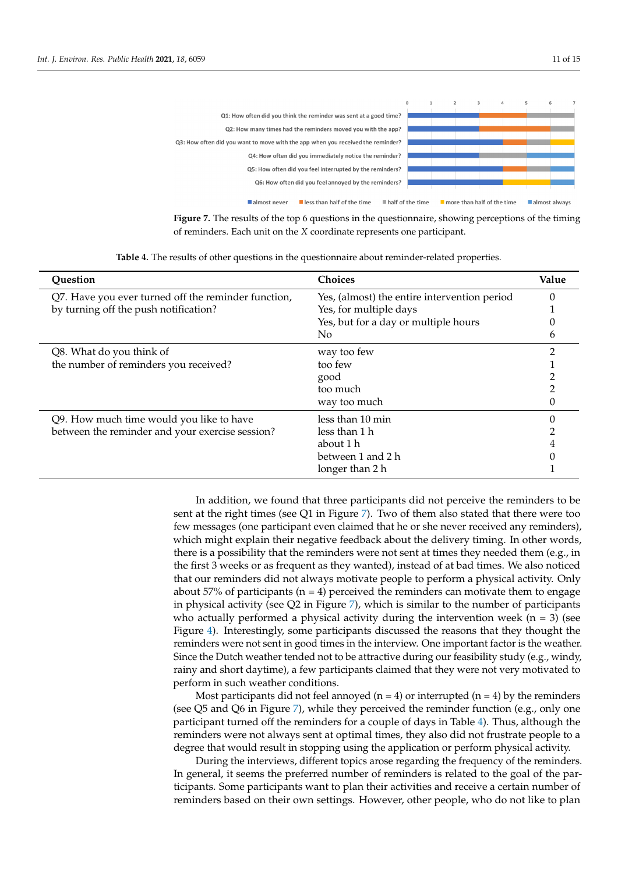<span id="page-10-0"></span>

**Figure 7.** The results of the top 6 questions in the questionnaire, showing perceptions of the timing of reminders. Each unit on the *X* coordinate represents one participant.

<span id="page-10-1"></span>

| Question                                            | Choices                                      | Value |
|-----------------------------------------------------|----------------------------------------------|-------|
| Q7. Have you ever turned off the reminder function, | Yes, (almost) the entire intervention period |       |
| by turning off the push notification?               | Yes, for multiple days                       |       |
|                                                     | Yes, but for a day or multiple hours         |       |
|                                                     | No.                                          | h     |
| Q8. What do you think of                            | way too few                                  |       |
| the number of reminders you received?               | too few                                      |       |
|                                                     | good                                         |       |
|                                                     | too much                                     |       |
|                                                     | way too much                                 |       |
| Q9. How much time would you like to have            | less than 10 min                             |       |
| between the reminder and your exercise session?     | less than 1 h                                |       |
|                                                     | about 1 h                                    |       |
|                                                     | between 1 and 2 h                            |       |
|                                                     | longer than 2 h                              |       |

**Table 4.** The results of other questions in the questionnaire about reminder-related properties.

In addition, we found that three participants did not perceive the reminders to be sent at the right times (see Q1 in Figure [7\)](#page-10-0). Two of them also stated that there were too few messages (one participant even claimed that he or she never received any reminders), which might explain their negative feedback about the delivery timing. In other words, there is a possibility that the reminders were not sent at times they needed them (e.g., in the first 3 weeks or as frequent as they wanted), instead of at bad times. We also noticed that our reminders did not always motivate people to perform a physical activity. Only about 57% of participants ( $n = 4$ ) perceived the reminders can motivate them to engage in physical activity (see  $Q2$  in Figure [7\)](#page-10-0), which is similar to the number of participants who actually performed a physical activity during the intervention week  $(n = 3)$  (see Figure [4\)](#page-8-0). Interestingly, some participants discussed the reasons that they thought the reminders were not sent in good times in the interview. One important factor is the weather. Since the Dutch weather tended not to be attractive during our feasibility study (e.g., windy, rainy and short daytime), a few participants claimed that they were not very motivated to perform in such weather conditions.

Most participants did not feel annoyed ( $n = 4$ ) or interrupted ( $n = 4$ ) by the reminders (see Q5 and Q6 in Figure [7\)](#page-10-0), while they perceived the reminder function (e.g., only one participant turned off the reminders for a couple of days in Table [4\)](#page-10-1). Thus, although the reminders were not always sent at optimal times, they also did not frustrate people to a degree that would result in stopping using the application or perform physical activity.

During the interviews, different topics arose regarding the frequency of the reminders. In general, it seems the preferred number of reminders is related to the goal of the participants. Some participants want to plan their activities and receive a certain number of reminders based on their own settings. However, other people, who do not like to plan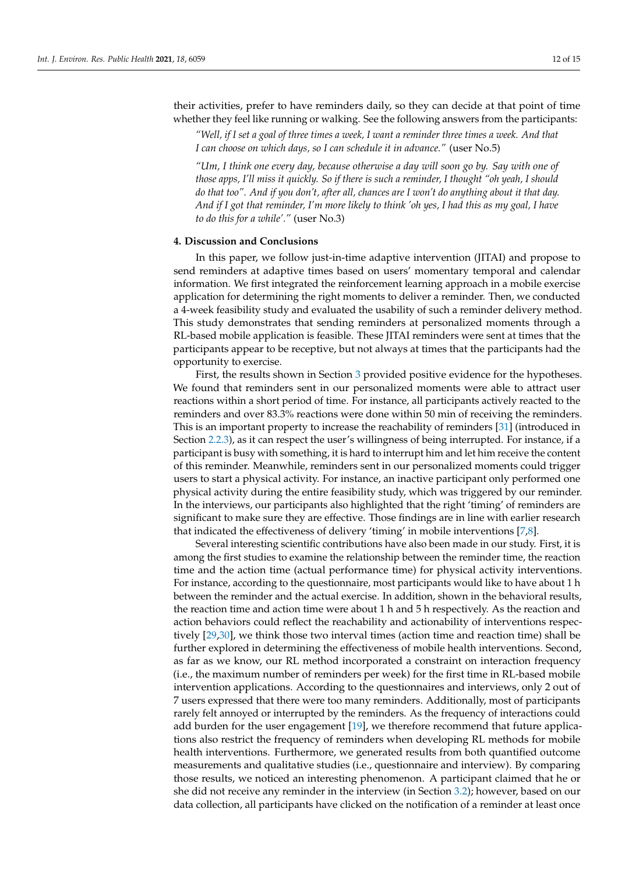their activities, prefer to have reminders daily, so they can decide at that point of time whether they feel like running or walking. See the following answers from the participants:

*"Well, if I set a goal of three times a week, I want a reminder three times a week. And that I can choose on which days, so I can schedule it in advance."* (user No.5)

*"Um, I think one every day, because otherwise a day will soon go by. Say with one of those apps, I'll miss it quickly. So if there is such a reminder, I thought "oh yeah, I should do that too". And if you don't, after all, chances are I won't do anything about it that day. And if I got that reminder, I'm more likely to think 'oh yes, I had this as my goal, I have to do this for a while'."* (user No.3)

#### **4. Discussion and Conclusions**

In this paper, we follow just-in-time adaptive intervention (JITAI) and propose to send reminders at adaptive times based on users' momentary temporal and calendar information. We first integrated the reinforcement learning approach in a mobile exercise application for determining the right moments to deliver a reminder. Then, we conducted a 4-week feasibility study and evaluated the usability of such a reminder delivery method. This study demonstrates that sending reminders at personalized moments through a RL-based mobile application is feasible. These JITAI reminders were sent at times that the participants appear to be receptive, but not always at times that the participants had the opportunity to exercise.

First, the results shown in Section [3](#page-7-1) provided positive evidence for the hypotheses. We found that reminders sent in our personalized moments were able to attract user reactions within a short period of time. For instance, all participants actively reacted to the reminders and over 83.3% reactions were done within 50 min of receiving the reminders. This is an important property to increase the reachability of reminders [\[31\]](#page-14-9) (introduced in Section [2.2.3\)](#page-6-1), as it can respect the user's willingness of being interrupted. For instance, if a participant is busy with something, it is hard to interrupt him and let him receive the content of this reminder. Meanwhile, reminders sent in our personalized moments could trigger users to start a physical activity. For instance, an inactive participant only performed one physical activity during the entire feasibility study, which was triggered by our reminder. In the interviews, our participants also highlighted that the right 'timing' of reminders are significant to make sure they are effective. Those findings are in line with earlier research that indicated the effectiveness of delivery 'timing' in mobile interventions [\[7,](#page-13-6)[8\]](#page-13-7).

Several interesting scientific contributions have also been made in our study. First, it is among the first studies to examine the relationship between the reminder time, the reaction time and the action time (actual performance time) for physical activity interventions. For instance, according to the questionnaire, most participants would like to have about 1 h between the reminder and the actual exercise. In addition, shown in the behavioral results, the reaction time and action time were about 1 h and 5 h respectively. As the reaction and action behaviors could reflect the reachability and actionability of interventions respectively [\[29](#page-14-7)[,30\]](#page-14-8), we think those two interval times (action time and reaction time) shall be further explored in determining the effectiveness of mobile health interventions. Second, as far as we know, our RL method incorporated a constraint on interaction frequency (i.e., the maximum number of reminders per week) for the first time in RL-based mobile intervention applications. According to the questionnaires and interviews, only 2 out of 7 users expressed that there were too many reminders. Additionally, most of participants rarely felt annoyed or interrupted by the reminders. As the frequency of interactions could add burden for the user engagement [\[19\]](#page-13-18), we therefore recommend that future applications also restrict the frequency of reminders when developing RL methods for mobile health interventions. Furthermore, we generated results from both quantified outcome measurements and qualitative studies (i.e., questionnaire and interview). By comparing those results, we noticed an interesting phenomenon. A participant claimed that he or she did not receive any reminder in the interview (in Section [3.2\)](#page-9-0); however, based on our data collection, all participants have clicked on the notification of a reminder at least once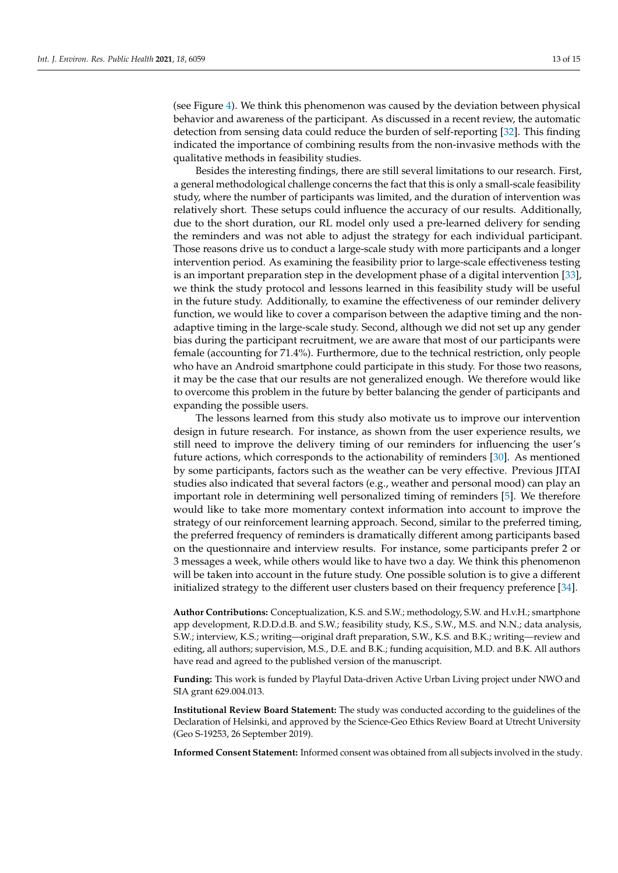(see Figure [4\)](#page-8-0). We think this phenomenon was caused by the deviation between physical behavior and awareness of the participant. As discussed in a recent review, the automatic detection from sensing data could reduce the burden of self-reporting [\[32\]](#page-14-10). This finding indicated the importance of combining results from the non-invasive methods with the qualitative methods in feasibility studies.

Besides the interesting findings, there are still several limitations to our research. First, a general methodological challenge concerns the fact that this is only a small-scale feasibility study, where the number of participants was limited, and the duration of intervention was relatively short. These setups could influence the accuracy of our results. Additionally, due to the short duration, our RL model only used a pre-learned delivery for sending the reminders and was not able to adjust the strategy for each individual participant. Those reasons drive us to conduct a large-scale study with more participants and a longer intervention period. As examining the feasibility prior to large-scale effectiveness testing is an important preparation step in the development phase of a digital intervention [\[33\]](#page-14-11), we think the study protocol and lessons learned in this feasibility study will be useful in the future study. Additionally, to examine the effectiveness of our reminder delivery function, we would like to cover a comparison between the adaptive timing and the nonadaptive timing in the large-scale study. Second, although we did not set up any gender bias during the participant recruitment, we are aware that most of our participants were female (accounting for 71.4%). Furthermore, due to the technical restriction, only people who have an Android smartphone could participate in this study. For those two reasons, it may be the case that our results are not generalized enough. We therefore would like to overcome this problem in the future by better balancing the gender of participants and expanding the possible users.

The lessons learned from this study also motivate us to improve our intervention design in future research. For instance, as shown from the user experience results, we still need to improve the delivery timing of our reminders for influencing the user's future actions, which corresponds to the actionability of reminders [\[30\]](#page-14-8). As mentioned by some participants, factors such as the weather can be very effective. Previous JITAI studies also indicated that several factors (e.g., weather and personal mood) can play an important role in determining well personalized timing of reminders [\[5\]](#page-13-4). We therefore would like to take more momentary context information into account to improve the strategy of our reinforcement learning approach. Second, similar to the preferred timing, the preferred frequency of reminders is dramatically different among participants based on the questionnaire and interview results. For instance, some participants prefer 2 or 3 messages a week, while others would like to have two a day. We think this phenomenon will be taken into account in the future study. One possible solution is to give a different initialized strategy to the different user clusters based on their frequency preference [\[34\]](#page-14-12).

**Author Contributions:** Conceptualization, K.S. and S.W.; methodology, S.W. and H.v.H.; smartphone app development, R.D.D.d.B. and S.W.; feasibility study, K.S., S.W., M.S. and N.N.; data analysis, S.W.; interview, K.S.; writing—original draft preparation, S.W., K.S. and B.K.; writing—review and editing, all authors; supervision, M.S., D.E. and B.K.; funding acquisition, M.D. and B.K. All authors have read and agreed to the published version of the manuscript.

**Funding:** This work is funded by Playful Data-driven Active Urban Living project under NWO and SIA grant 629.004.013.

**Institutional Review Board Statement:** The study was conducted according to the guidelines of the Declaration of Helsinki, and approved by the Science-Geo Ethics Review Board at Utrecht University (Geo S-19253, 26 September 2019).

**Informed Consent Statement:** Informed consent was obtained from all subjects involved in the study.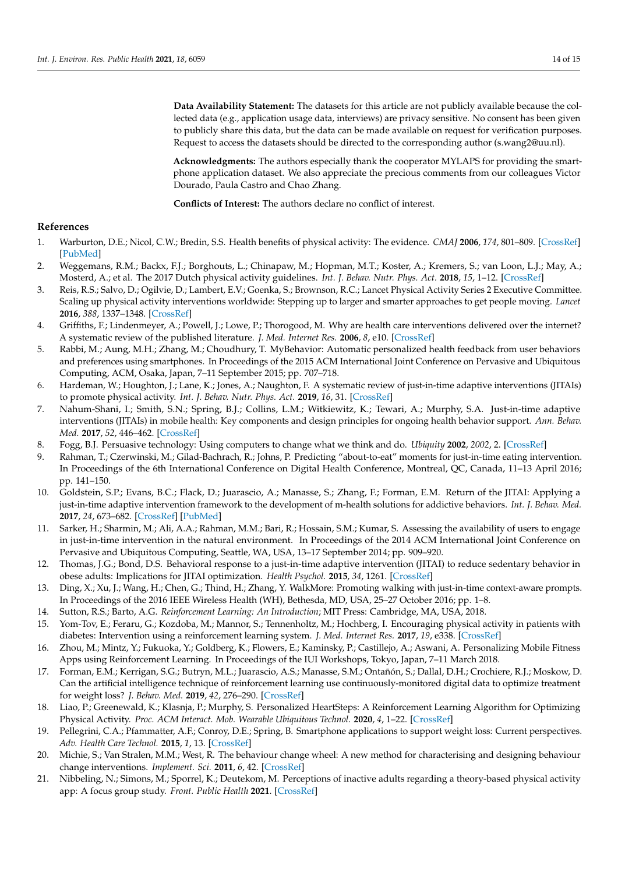**Data Availability Statement:** The datasets for this article are not publicly available because the collected data (e.g., application usage data, interviews) are privacy sensitive. No consent has been given to publicly share this data, but the data can be made available on request for verification purposes. Request to access the datasets should be directed to the corresponding author (s.wang2@uu.nl).

**Acknowledgments:** The authors especially thank the cooperator MYLAPS for providing the smartphone application dataset. We also appreciate the precious comments from our colleagues Victor Dourado, Paula Castro and Chao Zhang.

**Conflicts of Interest:** The authors declare no conflict of interest.

## **References**

- <span id="page-13-0"></span>1. Warburton, D.E.; Nicol, C.W.; Bredin, S.S. Health benefits of physical activity: The evidence. *CMAJ* **2006**, *174*, 801–809. [\[CrossRef\]](http://doi.org/10.1503/cmaj.051351) [\[PubMed\]](http://www.ncbi.nlm.nih.gov/pubmed/16534088)
- <span id="page-13-1"></span>2. Weggemans, R.M.; Backx, F.J.; Borghouts, L.; Chinapaw, M.; Hopman, M.T.; Koster, A.; Kremers, S.; van Loon, L.J.; May, A.; Mosterd, A.; et al. The 2017 Dutch physical activity guidelines. *Int. J. Behav. Nutr. Phys. Act.* **2018**, *15*, 1–12. [\[CrossRef\]](http://dx.doi.org/10.1186/s12966-018-0661-9)
- <span id="page-13-2"></span>3. Reis, R.S.; Salvo, D.; Ogilvie, D.; Lambert, E.V.; Goenka, S.; Brownson, R.C.; Lancet Physical Activity Series 2 Executive Committee. Scaling up physical activity interventions worldwide: Stepping up to larger and smarter approaches to get people moving. *Lancet* **2016**, *388*, 1337–1348. [\[CrossRef\]](http://dx.doi.org/10.1016/S0140-6736(16)30728-0)
- <span id="page-13-3"></span>4. Griffiths, F.; Lindenmeyer, A.; Powell, J.; Lowe, P.; Thorogood, M. Why are health care interventions delivered over the internet? A systematic review of the published literature. *J. Med. Internet Res.* **2006**, *8*, e10. [\[CrossRef\]](http://dx.doi.org/10.2196/jmir.8.2.e10)
- <span id="page-13-4"></span>5. Rabbi, M.; Aung, M.H.; Zhang, M.; Choudhury, T. MyBehavior: Automatic personalized health feedback from user behaviors and preferences using smartphones. In Proceedings of the 2015 ACM International Joint Conference on Pervasive and Ubiquitous Computing, ACM, Osaka, Japan, 7–11 September 2015; pp. 707–718.
- <span id="page-13-5"></span>6. Hardeman, W.; Houghton, J.; Lane, K.; Jones, A.; Naughton, F. A systematic review of just-in-time adaptive interventions (JITAIs) to promote physical activity. *Int. J. Behav. Nutr. Phys. Act.* **2019**, *16*, 31. [\[CrossRef\]](http://dx.doi.org/10.1186/s12966-019-0792-7)
- <span id="page-13-6"></span>7. Nahum-Shani, I.; Smith, S.N.; Spring, B.J.; Collins, L.M.; Witkiewitz, K.; Tewari, A.; Murphy, S.A. Just-in-time adaptive interventions (JITAIs) in mobile health: Key components and design principles for ongoing health behavior support. *Ann. Behav. Med.* **2017**, *52*, 446–462. [\[CrossRef\]](http://dx.doi.org/10.1007/s12160-016-9830-8)
- <span id="page-13-7"></span>8. Fogg, B.J. Persuasive technology: Using computers to change what we think and do. *Ubiquity* **2002**, *2002*, 2. [\[CrossRef\]](http://dx.doi.org/10.1145/764008.763957)
- <span id="page-13-8"></span>9. Rahman, T.; Czerwinski, M.; Gilad-Bachrach, R.; Johns, P. Predicting "about-to-eat" moments for just-in-time eating intervention. In Proceedings of the 6th International Conference on Digital Health Conference, Montreal, QC, Canada, 11–13 April 2016; pp. 141–150.
- <span id="page-13-9"></span>10. Goldstein, S.P.; Evans, B.C.; Flack, D.; Juarascio, A.; Manasse, S.; Zhang, F.; Forman, E.M. Return of the JITAI: Applying a just-in-time adaptive intervention framework to the development of m-health solutions for addictive behaviors. *Int. J. Behav. Med.* **2017**, *24*, 673–682. [\[CrossRef\]](http://dx.doi.org/10.1007/s12529-016-9627-y) [\[PubMed\]](http://www.ncbi.nlm.nih.gov/pubmed/28083725)
- <span id="page-13-10"></span>11. Sarker, H.; Sharmin, M.; Ali, A.A.; Rahman, M.M.; Bari, R.; Hossain, S.M.; Kumar, S. Assessing the availability of users to engage in just-in-time intervention in the natural environment. In Proceedings of the 2014 ACM International Joint Conference on Pervasive and Ubiquitous Computing, Seattle, WA, USA, 13–17 September 2014; pp. 909–920.
- <span id="page-13-11"></span>12. Thomas, J.G.; Bond, D.S. Behavioral response to a just-in-time adaptive intervention (JITAI) to reduce sedentary behavior in obese adults: Implications for JITAI optimization. *Health Psychol.* **2015**, *34*, 1261. [\[CrossRef\]](http://dx.doi.org/10.1037/hea0000304)
- <span id="page-13-12"></span>13. Ding, X.; Xu, J.; Wang, H.; Chen, G.; Thind, H.; Zhang, Y. WalkMore: Promoting walking with just-in-time context-aware prompts. In Proceedings of the 2016 IEEE Wireless Health (WH), Bethesda, MD, USA, 25–27 October 2016; pp. 1–8.
- <span id="page-13-13"></span>14. Sutton, R.S.; Barto, A.G. *Reinforcement Learning: An Introduction*; MIT Press: Cambridge, MA, USA, 2018.
- <span id="page-13-14"></span>15. Yom-Tov, E.; Feraru, G.; Kozdoba, M.; Mannor, S.; Tennenholtz, M.; Hochberg, I. Encouraging physical activity in patients with diabetes: Intervention using a reinforcement learning system. *J. Med. Internet Res.* **2017**, *19*, e338. [\[CrossRef\]](http://dx.doi.org/10.2196/jmir.7994)
- <span id="page-13-15"></span>16. Zhou, M.; Mintz, Y.; Fukuoka, Y.; Goldberg, K.; Flowers, E.; Kaminsky, P.; Castillejo, A.; Aswani, A. Personalizing Mobile Fitness Apps using Reinforcement Learning. In Proceedings of the IUI Workshops, Tokyo, Japan, 7–11 March 2018.
- <span id="page-13-16"></span>17. Forman, E.M.; Kerrigan, S.G.; Butryn, M.L.; Juarascio, A.S.; Manasse, S.M.; Ontañón, S.; Dallal, D.H.; Crochiere, R.J.; Moskow, D. Can the artificial intelligence technique of reinforcement learning use continuously-monitored digital data to optimize treatment for weight loss? *J. Behav. Med.* **2019**, *42*, 276–290. [\[CrossRef\]](http://dx.doi.org/10.1007/s10865-018-9964-1)
- <span id="page-13-17"></span>18. Liao, P.; Greenewald, K.; Klasnja, P.; Murphy, S. Personalized HeartSteps: A Reinforcement Learning Algorithm for Optimizing Physical Activity. *Proc. ACM Interact. Mob. Wearable Ubiquitous Technol.* **2020**, *4*, 1–22. [\[CrossRef\]](http://dx.doi.org/10.1145/3381007)
- <span id="page-13-18"></span>19. Pellegrini, C.A.; Pfammatter, A.F.; Conroy, D.E.; Spring, B. Smartphone applications to support weight loss: Current perspectives. *Adv. Health Care Technol.* **2015**, *1*, 13. [\[CrossRef\]](http://dx.doi.org/10.2147/AHCT.S57844)
- <span id="page-13-19"></span>20. Michie, S.; Van Stralen, M.M.; West, R. The behaviour change wheel: A new method for characterising and designing behaviour change interventions. *Implement. Sci.* **2011**, *6*, 42. [\[CrossRef\]](http://dx.doi.org/10.1186/1748-5908-6-42)
- <span id="page-13-20"></span>21. Nibbeling, N.; Simons, M.; Sporrel, K.; Deutekom, M. Perceptions of inactive adults regarding a theory-based physical activity app: A focus group study. *Front. Public Health* **2021**. [\[CrossRef\]](http://dx.doi.org/10.3389/fpubh.2021.528388)